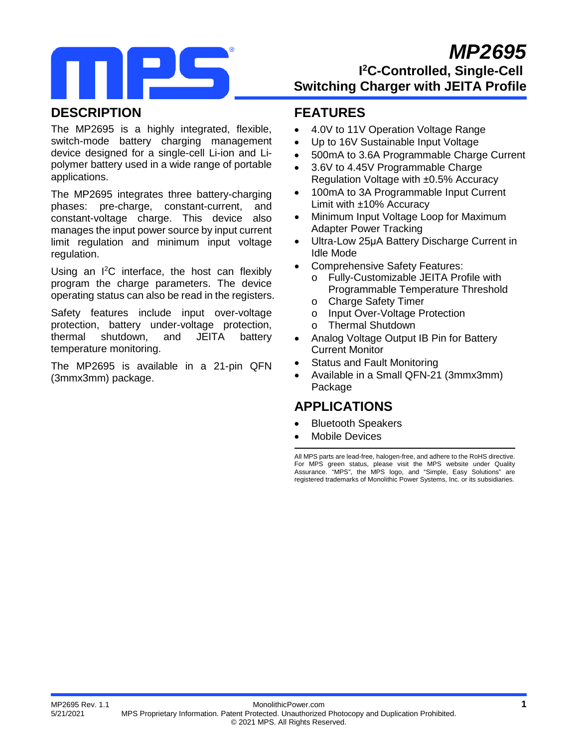# *MP2695*



## **I 2C-Controlled, Single-Cell Switching Charger with JEITA Profile**

### **DESCRIPTION**

The MP2695 is a highly integrated, flexible, switch-mode battery charging management device designed for a single-cell Li-ion and Lipolymer battery used in a wide range of portable applications.

The MP2695 integrates three battery-charging phases: pre-charge, constant-current, and constant-voltage charge. This device also manages the input power source by input current limit regulation and minimum input voltage regulation.

Using an I 2 C interface, the host can flexibly program the charge parameters. The device operating status can also be read in the registers.

Safety features include input over-voltage protection, battery under-voltage protection, thermal shutdown, and JEITA battery temperature monitoring.

The MP2695 is available in a 21-pin QFN (3mmx3mm) package.

### **FEATURES**

- 4.0V to 11V Operation Voltage Range
- Up to 16V Sustainable Input Voltage
- 500mA to 3.6A Programmable Charge Current
- 3.6V to 4.45V Programmable Charge Regulation Voltage with ±0.5% Accuracy
- 100mA to 3A Programmable Input Current Limit with  $\pm 10\%$  Accuracy
- Minimum Input Voltage Loop for Maximum Adapter Power Tracking
- Ultra-Low 25μA Battery Discharge Current in Idle Mode
- Comprehensive Safety Features:
	- o Fully-Customizable JEITA Profile with Programmable Temperature Threshold
	- o Charge Safety Timer<br>o Input Over-Voltage P
	- o Input Over-Voltage Protection<br>○ Thermal Shutdown
	- o Thermal Shutdown
- Analog Voltage Output IB Pin for Battery Current Monitor
- Status and Fault Monitoring
- Available in a Small QFN-21 (3mmx3mm) Package

## **APPLICATIONS**

- Bluetooth Speakers
- Mobile Devices

All MPS parts are lead-free, halogen-free, and adhere to the RoHS directive. For MPS green status, please visit the MPS website under Quality Assurance. "MPS", the MPS logo, and "Simple, Easy Solutions" are registered trademarks of Monolithic Power Systems, Inc. or its subsidiaries.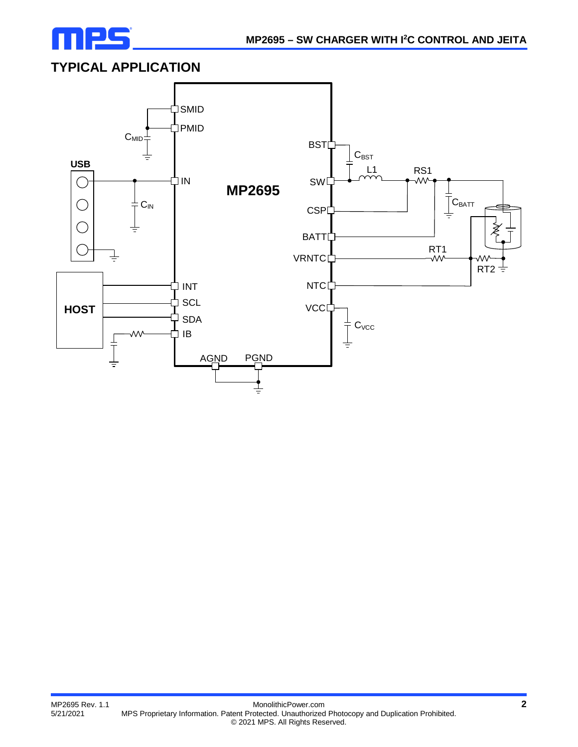

## **TYPICAL APPLICATION**

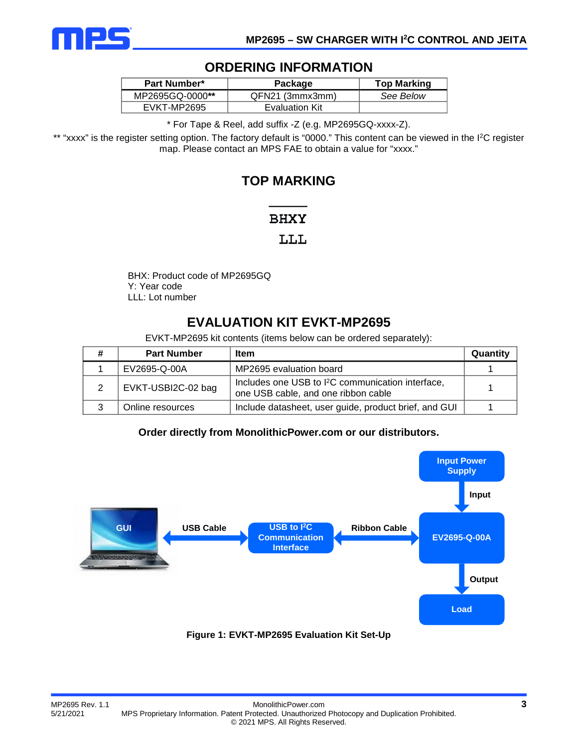

### **ORDERING INFORMATION**

| <b>Part Number*</b> | Package         | <b>Top Marking</b> |
|---------------------|-----------------|--------------------|
| MP2695GQ-0000**     | QFN21 (3mmx3mm) | See Below          |
| EVKT-MP2695         | Evaluation Kit  |                    |

\* For Tape & Reel, add suffix -Z (e.g. MP2695GQ-xxxx-Z).

\*\* "xxxx" is the register setting option. The factory default is "0000." This content can be viewed in the I 2C register map. Please contact an MPS FAE to obtain a value for "xxxx."

### **TOP MARKING**

### **BHXY**

### LLL

BHX: Product code of MP2695GQ Y: Year code LLL: Lot number

## **EVALUATION KIT EVKT-MP2695**

EVKT-MP2695 kit contents (items below can be ordered separately):

| <b>Part Number</b> | ltem                                                                                               | Quantity |
|--------------------|----------------------------------------------------------------------------------------------------|----------|
| EV2695-Q-00A       | MP2695 evaluation board                                                                            |          |
| EVKT-USBI2C-02 bag | Includes one USB to <sup>2</sup> C communication interface,<br>one USB cable, and one ribbon cable |          |
| Online resources   | Include datasheet, user guide, product brief, and GUI                                              |          |

### **Order directly from MonolithicPower.com or our distributors.**

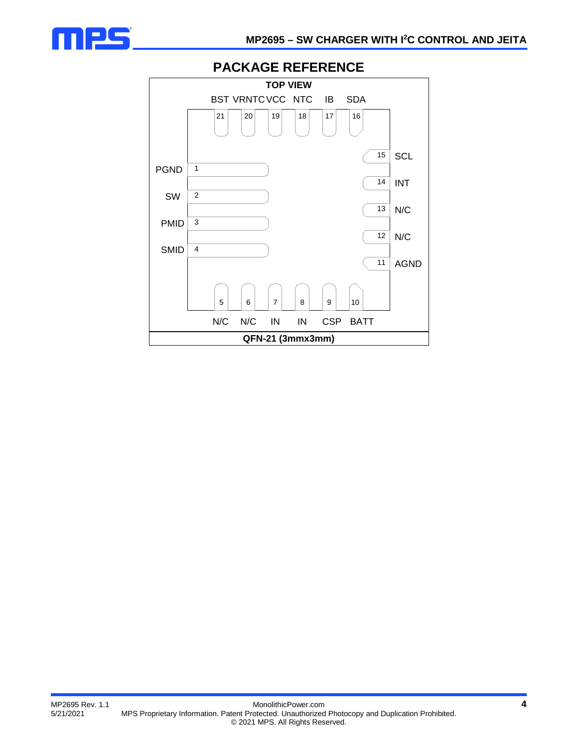



### **PACKAGE REFERENCE**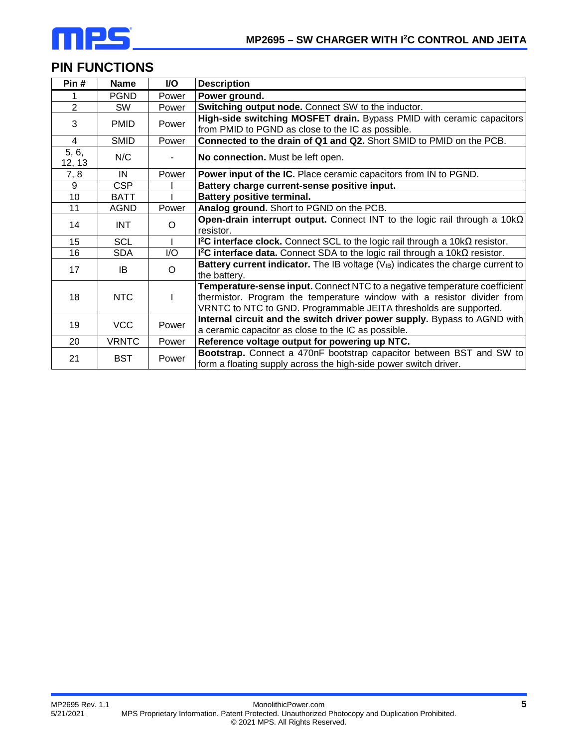

## **PIN FUNCTIONS**

| Pin#            | <b>Name</b>  | <b>VO</b> | <b>Description</b>                                                                                                                                                                                                         |  |  |  |  |
|-----------------|--------------|-----------|----------------------------------------------------------------------------------------------------------------------------------------------------------------------------------------------------------------------------|--|--|--|--|
| 1               | <b>PGND</b>  | Power     | Power ground.                                                                                                                                                                                                              |  |  |  |  |
| $\overline{2}$  | SW.          | Power     | Switching output node. Connect SW to the inductor.                                                                                                                                                                         |  |  |  |  |
| 3               | <b>PMID</b>  | Power     | High-side switching MOSFET drain. Bypass PMID with ceramic capacitors<br>from PMID to PGND as close to the IC as possible.                                                                                                 |  |  |  |  |
| $\overline{4}$  | <b>SMID</b>  | Power     | Connected to the drain of Q1 and Q2. Short SMID to PMID on the PCB.                                                                                                                                                        |  |  |  |  |
| 5, 6,<br>12, 13 | N/C          |           | No connection. Must be left open.                                                                                                                                                                                          |  |  |  |  |
| 7, 8            | IN           | Power     | Power input of the IC. Place ceramic capacitors from IN to PGND.                                                                                                                                                           |  |  |  |  |
| 9               | <b>CSP</b>   |           | Battery charge current-sense positive input.                                                                                                                                                                               |  |  |  |  |
| 10              | <b>BATT</b>  |           | <b>Battery positive terminal.</b>                                                                                                                                                                                          |  |  |  |  |
| 11              | AGND         | Power     | Analog ground. Short to PGND on the PCB.                                                                                                                                                                                   |  |  |  |  |
| 14              | INT.         | $\circ$   | Open-drain interrupt output. Connect INT to the logic rail through a $10k\Omega$<br>resistor.                                                                                                                              |  |  |  |  |
| 15 <sub>1</sub> | <b>SCL</b>   |           | I <sup>2</sup> C interface clock. Connect SCL to the logic rail through a $10k\Omega$ resistor.                                                                                                                            |  |  |  |  |
| 16              | <b>SDA</b>   | I/O       | I <sup>2</sup> C interface data. Connect SDA to the logic rail through a $10k\Omega$ resistor.                                                                                                                             |  |  |  |  |
| 17              | IB           | $\circ$   | Battery current indicator. The IB voltage $(V_{IB})$ indicates the charge current to<br>the battery.                                                                                                                       |  |  |  |  |
| 18              | <b>NTC</b>   |           | Temperature-sense input. Connect NTC to a negative temperature coefficient<br>thermistor. Program the temperature window with a resistor divider from<br>VRNTC to NTC to GND. Programmable JEITA thresholds are supported. |  |  |  |  |
| 19              | <b>VCC</b>   | Power     | Internal circuit and the switch driver power supply. Bypass to AGND with<br>a ceramic capacitor as close to the IC as possible.                                                                                            |  |  |  |  |
| 20              | <b>VRNTC</b> | Power     | Reference voltage output for powering up NTC.                                                                                                                                                                              |  |  |  |  |
| 21              | <b>BST</b>   | Power     | Bootstrap. Connect a 470nF bootstrap capacitor between BST and SW to<br>form a floating supply across the high-side power switch driver.                                                                                   |  |  |  |  |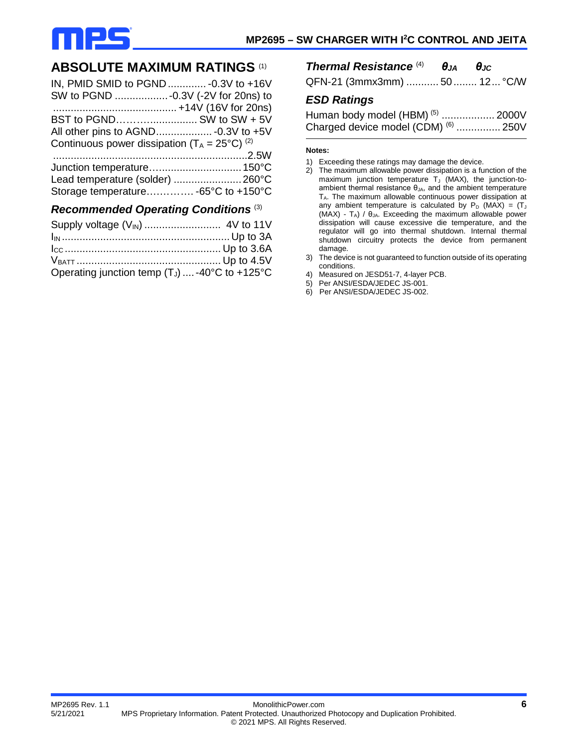

### **ABSOLUTE MAXIMUM RATINGS** (1)

| IN, PMID SMID to PGND  - 0.3V to +16V                    |  |
|----------------------------------------------------------|--|
| SW to PGND -0.3V (-2V for 20ns) to                       |  |
|                                                          |  |
| BST to PGND SW to SW + 5V                                |  |
|                                                          |  |
| Continuous power dissipation $(T_A = 25^{\circ}C)^{(2)}$ |  |
|                                                          |  |
|                                                          |  |
|                                                          |  |
| Storage temperature -65°C to +150°C                      |  |

#### *Recommended Operating Conditions* (3)

| Operating junction temp $(T_J)$ -40°C to +125°C |  |
|-------------------------------------------------|--|

#### *Thermal Resistance* (4) *θJA θJC*

QFN-21 (3mmx3mm) ........... 50........ 12... °C/W

### *ESD Ratings*

| Human body model (HBM) <sup>(5)</sup> 2000V |  |
|---------------------------------------------|--|
| Charged device model (CDM) $(6)$ 250V       |  |

#### **Notes:**

- 1) Exceeding these ratings may damage the device.
- 2) The maximum allowable power dissipation is a function of the maximum junction temperature  $T_J$  (MAX), the junction-toambient thermal resistance  $\theta_{JA}$ , and the ambient temperature TA. The maximum allowable continuous power dissipation at any ambient temperature is calculated by  $P_D$  (MAX) = (T (MAX) -  $T_A$ ) /  $\theta_{JA}$ . Exceeding the maximum allowable power dissipation will cause excessive die temperature, and the regulator will go into thermal shutdown. Internal thermal shutdown circuitry protects the device from permanent damage.
- 3) The device is not guaranteed to function outside of its operating conditions.
- 4) Measured on JESD51-7, 4-layer PCB.
- 5) Per ANSI/ESDA/JEDEC JS-001.
- 6) Per ANSI/ESDA/JEDEC JS-002.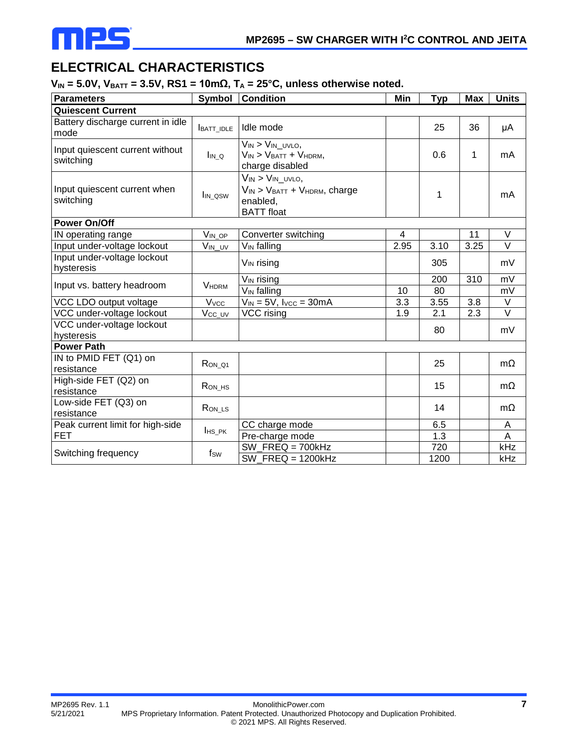

## **ELECTRICAL CHARACTERISTICS**

 $V_{IN}$  = 5.0V,  $V_{BAT}$  = 3.5V, RS1 = 10m $\Omega$ ,  $T_A$  = 25°C, unless otherwise noted.

| <b>Parameters</b>                            | Symbol                  | <b>Condition</b>                                                                                         | Min  | <b>Typ</b> | <b>Max</b> | <b>Units</b>      |
|----------------------------------------------|-------------------------|----------------------------------------------------------------------------------------------------------|------|------------|------------|-------------------|
| <b>Quiescent Current</b>                     |                         |                                                                                                          |      |            |            |                   |
| Battery discharge current in idle<br>mode    | BATT_IDLE               | Idle mode                                                                                                |      | 25         | 36         | μA                |
| Input quiescent current without<br>switching | Ina                     | $V_{IN}$ > $V_{IN\_UVLO}$ ,<br>$V_{IN}$ > $V_{BATT}$ + $V_{HDRM}$ ,<br>charge disabled                   |      | 0.6        | 1          | mA                |
| Input quiescent current when<br>switching    | I <sub>IN</sub> asw     | $V_{IN}$ > $V_{IN_UVVLO}$<br>$V_{IN}$ > $V_{BAT}$ + $V_{HDRM}$ , charge<br>enabled,<br><b>BATT</b> float |      | 1          |            | mA                |
| <b>Power On/Off</b>                          |                         |                                                                                                          |      |            |            |                   |
| IN operating range                           | $V_{IN\_OP}$            | Converter switching                                                                                      | 4    |            | 11         | V                 |
| Input under-voltage lockout                  | $V_{IN\_UV}$            | V <sub>IN</sub> falling                                                                                  | 2.95 | 3.10       | 3.25       | $\vee$            |
| Input under-voltage lockout<br>hysteresis    |                         | V <sub>IN</sub> rising                                                                                   |      | 305        |            | mV                |
| Input vs. battery headroom                   | <b>VHDRM</b>            | V <sub>IN</sub> rising                                                                                   |      | 200        | 310        | mV                |
|                                              |                         | $V_{IN}$ falling                                                                                         | 10   | 80         |            | mV                |
| VCC LDO output voltage                       | <b>V</b> <sub>vcc</sub> | $V_{IN} = 5V$ , $V_{VCC} = 30mA$                                                                         | 3.3  | 3.55       | 3.8        | V                 |
| VCC under-voltage lockout                    | $V_{CC\_UV}$            | $\overline{VCC}$ rising                                                                                  | 1.9  | 2.1        | 2.3        | $\overline{\vee}$ |
| VCC under-voltage lockout<br>hysteresis      |                         |                                                                                                          |      | 80         |            | mV                |
| <b>Power Path</b>                            |                         |                                                                                                          |      |            |            |                   |
| IN to PMID FET (Q1) on<br>resistance         | $R$ ON_Q1               |                                                                                                          |      | 25         |            | $m\Omega$         |
| High-side FET (Q2) on<br>resistance          | $R_{ON_HSS}$            |                                                                                                          |      | 15         |            | $m\Omega$         |
| Low-side FET (Q3) on<br>resistance           | $R$ <sub>ON_LS</sub>    |                                                                                                          |      | 14         |            | $m\Omega$         |
| Peak current limit for high-side             |                         | CC charge mode                                                                                           |      | 6.5        |            | A                 |
| <b>FET</b>                                   | $I$ HS_PK               | Pre-charge mode                                                                                          |      | 1.3        |            | A                 |
|                                              |                         | SW $FREG = 700kHz$                                                                                       |      | 720        |            | kHz               |
| Switching frequency                          | fsw                     | $SW_FREG = 1200kHz$                                                                                      |      | 1200       |            | kHz               |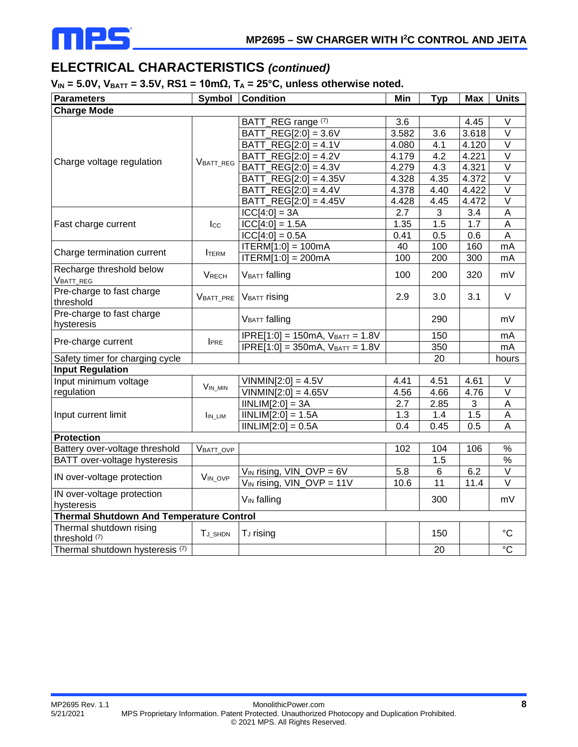

## **ELECTRICAL CHARACTERISTICS** *(continued)*

#### $V_{IN}$  = 5.0V,  $V_{BAT}$  = 3.5V, RS1 = 10m $\Omega$ ,  $T_A$  = 25°C, unless otherwise noted.

| <b>Parameters</b>                               | Symbol              | <b>Condition</b>                  | Min   | <b>Typ</b>      | <b>Max</b> | <b>Units</b>              |
|-------------------------------------------------|---------------------|-----------------------------------|-------|-----------------|------------|---------------------------|
| <b>Charge Mode</b>                              |                     |                                   |       |                 |            |                           |
|                                                 |                     | BATT_REG range (7)                | 3.6   |                 | 4.45       | V                         |
|                                                 |                     | BATT_REG[2:0] = 3.6V              | 3.582 | 3.6             | 3.618      | $\vee$                    |
|                                                 |                     | BATT_REG[2:0] = 4.1V              | 4.080 | 4.1             | 4.120      | $\vee$                    |
|                                                 |                     | $BAT_T_{REG[2:0]} = 4.2V$         | 4.179 | 4.2             | 4.221      | $\overline{\vee}$         |
| Charge voltage regulation                       | VBATT_REG           | BATT_REG[2:0] = 4.3V              | 4.279 | 4.3             | 4.321      | $\vee$                    |
|                                                 |                     | BATT_REG[2:0] = 4.35V             | 4.328 | 4.35            | 4.372      | $\vee$                    |
|                                                 |                     | BATT_REG[2:0] = 4.4V              | 4.378 | 4.40            | 4.422      | $\vee$                    |
|                                                 |                     | BATT_REG[2:0] = 4.45V             | 4.428 | 4.45            | 4.472      | $\overline{\vee}$         |
|                                                 |                     | $ICC[4:0] = 3A$                   | 2.7   | 3               | 3.4        | $\boldsymbol{\mathsf{A}}$ |
| Fast charge current                             | $_{\text{Lcc}}$     | $ICC[4:0] = 1.5A$                 | 1.35  | 1.5             | 1.7        | $\boldsymbol{\mathsf{A}}$ |
|                                                 |                     | $ CC[4:0] = 0.5A$                 | 0.41  | 0.5             | 0.6        | $\mathsf A$               |
|                                                 |                     | $ITERM[1:0] = 100mA$              | 40    | 100             | 160        | mA                        |
| Charge termination current                      | <b>ITERM</b>        | $ITERM[1:0] = 200mA$              | 100   | 200             | 300        | mA                        |
| Recharge threshold below<br>VBATT_REG           | VRECH               | <b>VBATT</b> falling              | 100   | 200             | 320        | mV                        |
| Pre-charge to fast charge<br>threshold          | VBATT_PRE           | <b>VBATT</b> rising               | 2.9   | 3.0             | 3.1        | V                         |
| Pre-charge to fast charge<br>hysteresis         |                     | <b>VBATT</b> falling              |       | 290             |            | mV                        |
| Pre-charge current                              |                     | $IPRE[1:0] = 150mA, VBATT = 1.8V$ |       | 150             |            | mA                        |
|                                                 | I <sub>PRE</sub>    | $IPRE[1:0] = 350mA, VBATT = 1.8V$ |       | 350             |            | mA                        |
| Safety timer for charging cycle                 |                     |                                   |       | 20              |            | hours                     |
| <b>Input Regulation</b>                         |                     |                                   |       |                 |            |                           |
| Input minimum voltage                           | $V_{IN\_MIN}$       | $VINMIN[2:0] = 4.5V$              | 4.41  | 4.51            | 4.61       | V                         |
| regulation                                      |                     | $VINMIN[2:0] = 4.65V$             | 4.56  | 4.66            | 4.76       | $\overline{\vee}$         |
|                                                 |                     | $IINLIM[2:0] = 3A$                | 2.7   | 2.85            | 3          | Α                         |
| Input current limit                             | $I_{IN_LIM}$        | $INLIM[2:0] = 1.5A$               | 1.3   | 1.4             | 1.5        | $\mathsf A$               |
|                                                 |                     | $INLIM[2:0] = 0.5A$               | 0.4   | 0.45            | 0.5        | A                         |
| <b>Protection</b>                               |                     |                                   |       |                 |            |                           |
| Battery over-voltage threshold                  | VBATT_OVP           |                                   | 102   | 104             | 106        | $\frac{9}{6}$             |
| BATT over-voltage hysteresis                    |                     |                                   |       | 1.5             |            | $\%$                      |
| IN over-voltage protection                      | V <sub>IN_OVP</sub> | $V_{IN}$ rising, $VIN$ _OVP = 6V  | 5.8   | 6               | 6.2        | $\overline{\vee}$         |
|                                                 |                     | $V_{IN}$ rising, $VIN$ _OVP = 11V | 10.6  | $\overline{11}$ | 11.4       | $\overline{\vee}$         |
| IN over-voltage protection                      |                     | V <sub>IN</sub> falling           |       | 300             |            | mV                        |
| hysteresis                                      |                     |                                   |       |                 |            |                           |
| <b>Thermal Shutdown And Temperature Control</b> |                     |                                   |       |                 |            |                           |
| Thermal shutdown rising<br>threshold (7)        | TJ SHDN             | T <sub>J</sub> rising             |       | 150             |            | $\rm ^{\circ}C$           |
| Thermal shutdown hysteresis <sup>(7)</sup>      |                     |                                   |       | 20              |            | $\overline{C}$            |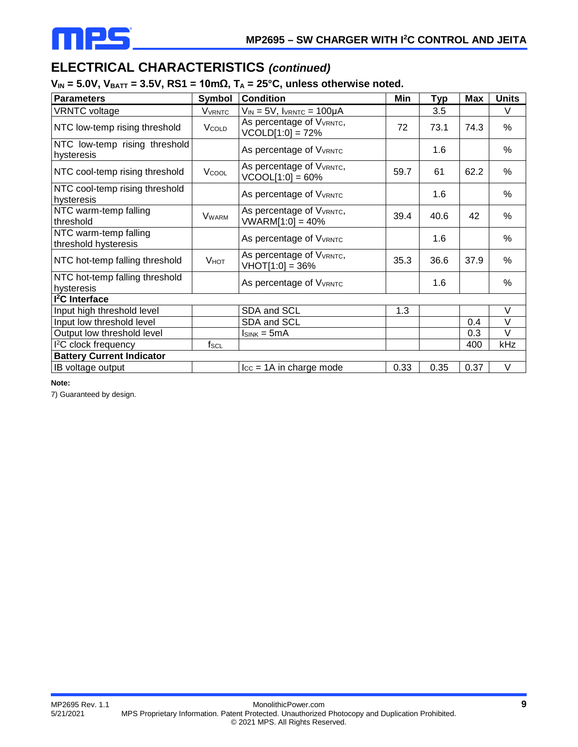

## **ELECTRICAL CHARACTERISTICS** *(continued)*

### $V_{IN}$  = 5.0V,  $V_{BAT}$  = 3.5V, RS1 = 10m $\Omega$ ,  $T_A$  = 25°C, unless otherwise noted.

| <b>Parameters</b>                             | Symbol                    | <b>Condition</b>                                   | Min  | <b>Typ</b> | <b>Max</b> | <b>Units</b> |
|-----------------------------------------------|---------------------------|----------------------------------------------------|------|------------|------------|--------------|
| <b>VRNTC</b> voltage                          | <b>V</b> <sub>VRNTC</sub> | $V_{IN} = 5V$ , IVRNTC = 100µA                     |      | 3.5        |            | V            |
| NTC low-temp rising threshold                 | <b>V</b> cold             | As percentage of VVRNTC,<br>$VCOLD[1:0] = 72%$     | 72   | 73.1       | 74.3       | %            |
| NTC low-temp rising threshold<br>hysteresis   |                           | As percentage of VVRNTC                            |      | 1.6        |            | %            |
| NTC cool-temp rising threshold                | VCOOL                     | As percentage of VVRNTC,<br>$VCOOL[1:0] = 60%$     | 59.7 | 61         | 62.2       | %            |
| NTC cool-temp rising threshold<br>hysteresis  |                           | As percentage of VVRNTC                            |      | 1.6        |            | %            |
| NTC warm-temp falling<br>threshold            | <b>VWARM</b>              | As percentage of VVRNTC,<br>$VWARM[1:0] = 40%$     | 39.4 | 40.6       | 42         | $\%$         |
| NTC warm-temp falling<br>threshold hysteresis |                           | As percentage of VVRNTC                            |      | 1.6        |            | $\%$         |
| NTC hot-temp falling threshold                | <b>V</b> нот              | As percentage of VVRNTC,<br>$V$ HOT $[1:0] = 36\%$ | 35.3 | 36.6       | 37.9       | $\%$         |
| NTC hot-temp falling threshold<br>hysteresis  |                           | As percentage of V <sub>VRNTC</sub>                |      | 1.6        |            | %            |
| <sup>2</sup> C Interface                      |                           |                                                    |      |            |            |              |
| Input high threshold level                    |                           | SDA and SCL                                        | 1.3  |            |            | $\vee$       |
| Input low threshold level                     |                           | SDA and SCL                                        |      |            | 0.4        | V            |
| Output low threshold level                    |                           | $Isink = 5mA$                                      |      |            | 0.3        | V            |
| I <sup>2</sup> C clock frequency              | $f_{SCL}$                 |                                                    |      |            | 400        | kHz          |
| <b>Battery Current Indicator</b>              |                           |                                                    |      |            |            |              |
| IB voltage output                             |                           | $\text{Icc} = 1$ A in charge mode                  | 0.33 | 0.35       | 0.37       | V            |

**Note:**

7) Guaranteed by design.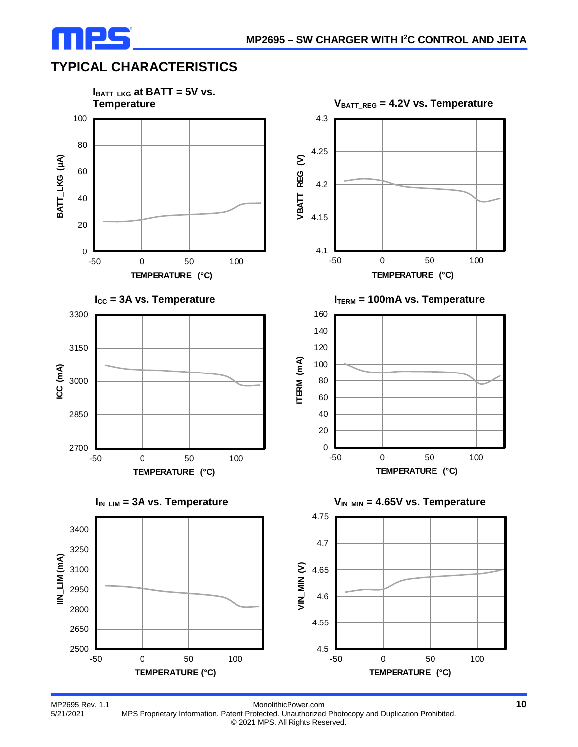

## **TYPICAL CHARACTERISTICS**



MP2695 Rev. 1.1 **MONOLIT MEET ALCOCES** Rev. 1.1 **10**<br>5/21/2021 MPS Proprietary Information. Patent Protected. Unauthorized Photocopy and Duplication Prohibited. MPS Proprietary Information. Patent Protected. Unauthorized Photocopy and Duplication Prohibited. © 2021 MPS. All Rights Reserved.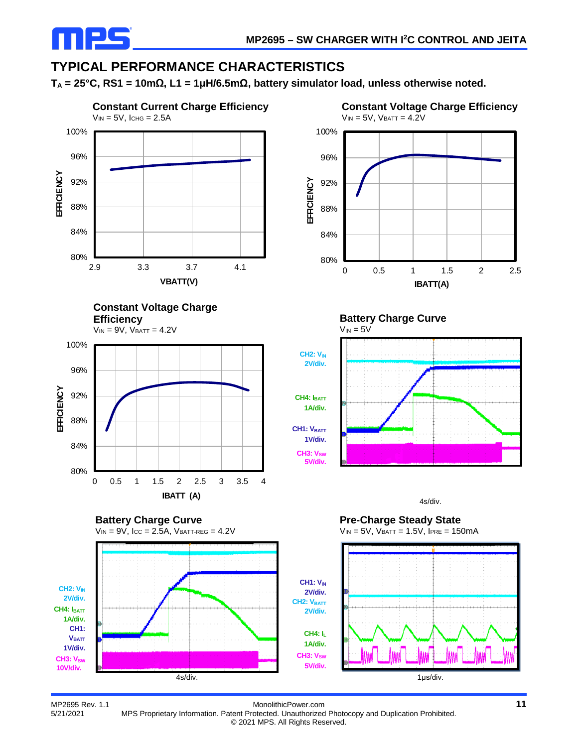

## **TYPICAL PERFORMANCE CHARACTERISTICS**

**TA = 25°C, RS1 = 10mΩ, L1 = 1μH/6.5mΩ, battery simulator load, unless otherwise noted.**



MP2695 Rev. 1.1 **MONO**MP2695 Rev. 1.1 **MONO**MP2695 Rev. 1.1 **MONO**MONOMITHICPOWER.com **11** MP2695 Rev. 1.1 **MPS** Proprietary Information. Patent Protected. Unauthorized Photocopy and Duplication Prohibited. MPS Proprietary Information. Patent Protected. Unauthorized Photocopy and Duplication Prohibited. © 2021 MPS. All Rights Reserved.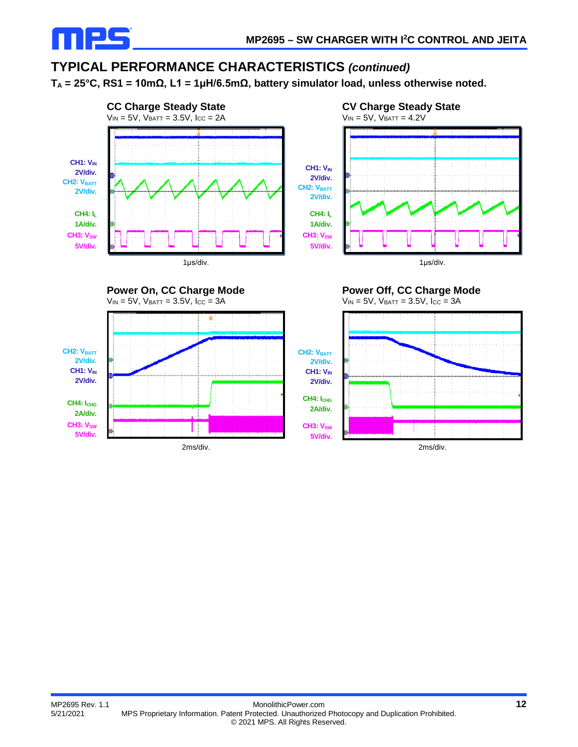

### **TYPICAL PERFORMANCE CHARACTERISTICS** *(continued)*

**TA = 25°C, RS1 = 10mΩ, L1 = 1μH/6.5mΩ, battery simulator load, unless otherwise noted.**





**Power On, CC Charge Mode**  $V_{IN} = 5V$ ,  $V_{BATT} = 3.5V$ ,  $I_{CC} = 3A$ **CH2: V<sub>BATT</sub> 2V/div. CH1: VIN 2V/div.** CH4: I<sub>CHG</sub> **2A/div. CH3: V<sub>SW</sub> 5V/div.**



**Power Off, CC Charge Mode**

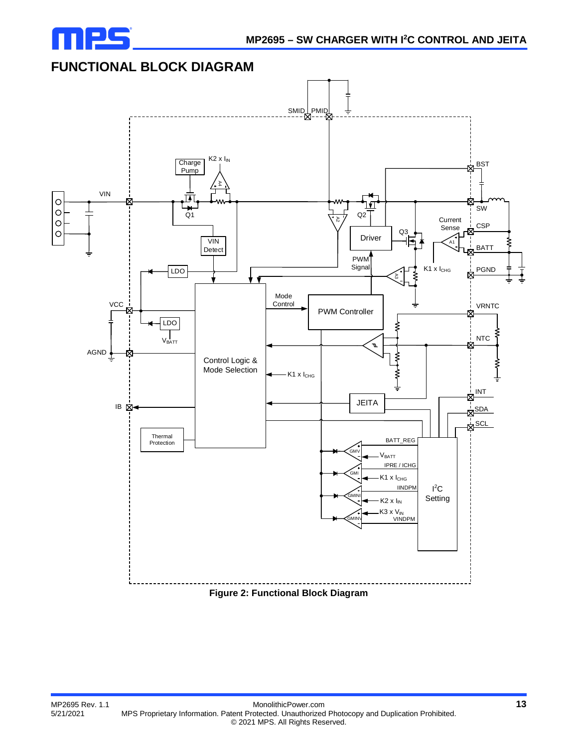

## **FUNCTIONAL BLOCK DIAGRAM**



**Figure 2: Functional Block Diagram**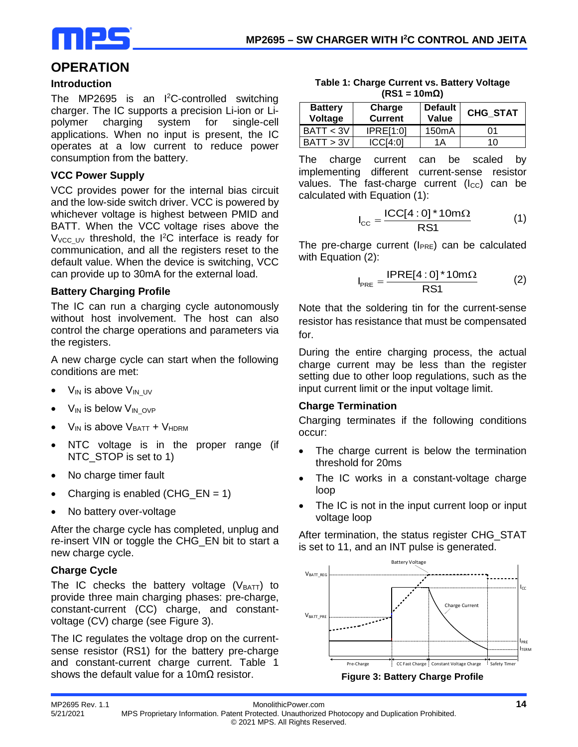

### **OPERATION**

#### **Introduction**

The MP2695 is an  $I^2C$ -controlled switching charger. The IC supports a precision Li-ion or Lipolymer charging system for single-cell applications. When no input is present, the IC operates at a low current to reduce power consumption from the battery.

#### **VCC Power Supply**

VCC provides power for the internal bias circuit and the low-side switch driver. VCC is powered by whichever voltage is highest between PMID and BATT. When the VCC voltage rises above the  $V_{\text{VCC_UV}}$  threshold, the  $I^2C$  interface is ready for communication, and all the registers reset to the default value. When the device is switching, VCC can provide up to 30mA for the external load.

#### **Battery Charging Profile**

The IC can run a charging cycle autonomously without host involvement. The host can also control the charge operations and parameters via the registers.

A new charge cycle can start when the following conditions are met:

- $V_{IN}$  is above  $V_{IN}$  UV
- $V_{IN}$  is below  $V_{IN}$  ovp
- $V_{IN}$  is above  $V_{BAT} + V_{HDRM}$
- NTC voltage is in the proper range (if NTC\_STOP is set to 1)
- No charge timer fault
- Charging is enabled  $(CHG_FN = 1)$
- No battery over-voltage

After the charge cycle has completed, unplug and re-insert VIN or toggle the CHG\_EN bit to start a new charge cycle.

#### **Charge Cycle**

The IC checks the battery voltage  $(V_{BAT})$  to provide three main charging phases: pre-charge, constant-current (CC) charge, and constantvoltage (CV) charge (see Figure 3).

The IC regulates the voltage drop on the currentsense resistor (RS1) for the battery pre-charge and constant-current charge current. Table 1 shows the default value for a 10m $\Omega$  resistor.

| Table 1: Charge Current vs. Battery Voltage |
|---------------------------------------------|
| $(RS1 = 10m\Omega)$                         |

| <b>Battery</b><br>Voltage | Charge<br><b>Current</b> | <b>Default</b><br>Value | <b>CHG STAT</b> |  |
|---------------------------|--------------------------|-------------------------|-----------------|--|
| BAT < 3V                  | <b>IPRE[1:0]</b>         | 150 <sub>m</sub> A      | 01              |  |
| BATT > 3V                 | ICCI4:0]                 | 1Α                      | 10              |  |

The charge current can be scaled by implementing different current-sense resistor values. The fast-charge current  $(I_{CC})$  can be calculated with Equation (1):

$$
I_{\rm CC} = \frac{\text{ICC}[4:0]^*10m\Omega}{\text{RS1}}\tag{1}
$$

The pre-charge current  $(I_{PRE})$  can be calculated with Equation (2):

$$
I_{PRE} = \frac{IPRE[4:0]^*10m\Omega}{RS1}
$$
 (2)

Note that the soldering tin for the current-sense resistor has resistance that must be compensated for.

During the entire charging process, the actual charge current may be less than the register setting due to other loop regulations, such as the input current limit or the input voltage limit.

#### **Charge Termination**

Charging terminates if the following conditions occur:

- The charge current is below the termination threshold for 20ms
- The IC works in a constant-voltage charge loop
- The IC is not in the input current loop or input voltage loop

After termination, the status register CHG\_STAT is set to 11, and an INT pulse is generated.



**Figure 3: Battery Charge Profile**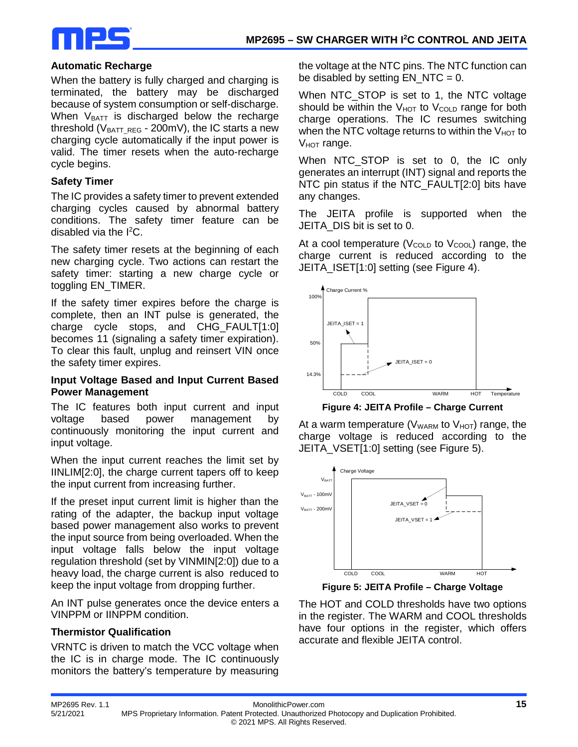

#### **Automatic Recharge**

When the battery is fully charged and charging is terminated, the battery may be discharged because of system consumption or self-discharge. When  $V_{BAT}$  is discharged below the recharge threshold ( $V_{BAT}$  REG - 200mV), the IC starts a new charging cycle automatically if the input power is valid. The timer resets when the auto-recharge cycle begins.

#### **Safety Timer**

The IC provides a safety timer to prevent extended charging cycles caused by abnormal battery conditions. The safety timer feature can be disabled via the I<sup>2</sup>C.

The safety timer resets at the beginning of each new charging cycle. Two actions can restart the safety timer: starting a new charge cycle or toggling EN\_TIMER.

If the safety timer expires before the charge is complete, then an INT pulse is generated, the charge cycle stops, and CHG\_FAULT[1:0] becomes 11 (signaling a safety timer expiration). To clear this fault, unplug and reinsert VIN once the safety timer expires.

#### **Input Voltage Based and Input Current Based Power Management**

The IC features both input current and input voltage based power management by continuously monitoring the input current and input voltage.

When the input current reaches the limit set by IINLIM[2:0], the charge current tapers off to keep the input current from increasing further.

If the preset input current limit is higher than the rating of the adapter, the backup input voltage based power management also works to prevent the input source from being overloaded. When the input voltage falls below the input voltage regulation threshold (set by VINMIN[2:0]) due to a heavy load, the charge current is also reduced to keep the input voltage from dropping further.

An INT pulse generates once the device enters a VINPPM or IINPPM condition.

#### **Thermistor Qualification**

VRNTC is driven to match the VCC voltage when the IC is in charge mode. The IC continuously monitors the battery's temperature by measuring the voltage at the NTC pins. The NTC function can be disabled by setting  $EN_NTC = 0$ .

When NTC STOP is set to 1, the NTC voltage should be within the  $V_{HOT}$  to  $V_{COLD}$  range for both charge operations. The IC resumes switching when the NTC voltage returns to within the  $V_{HOT}$  to  $V_{HOT}$  range.

When NTC\_STOP is set to 0, the IC only generates an interrupt (INT) signal and reports the NTC pin status if the NTC\_FAULT[2:0] bits have any changes.

The JEITA profile is supported when the JEITA\_DIS bit is set to 0.

At a cool temperature ( $V_{\text{COLD}}$  to  $V_{\text{COOL}}$ ) range, the charge current is reduced according to the JEITA\_ISET[1:0] setting (see Figure 4).



**Figure 4: JEITA Profile – Charge Current**

At a warm temperature ( $V_{WARM}$  to  $V_{HOT}$ ) range, the charge voltage is reduced according to the JEITA VSET[1:0] setting (see Figure 5).



**Figure 5: JEITA Profile – Charge Voltage**

The HOT and COLD thresholds have two options in the register. The WARM and COOL thresholds have four options in the register, which offers accurate and flexible JEITA control.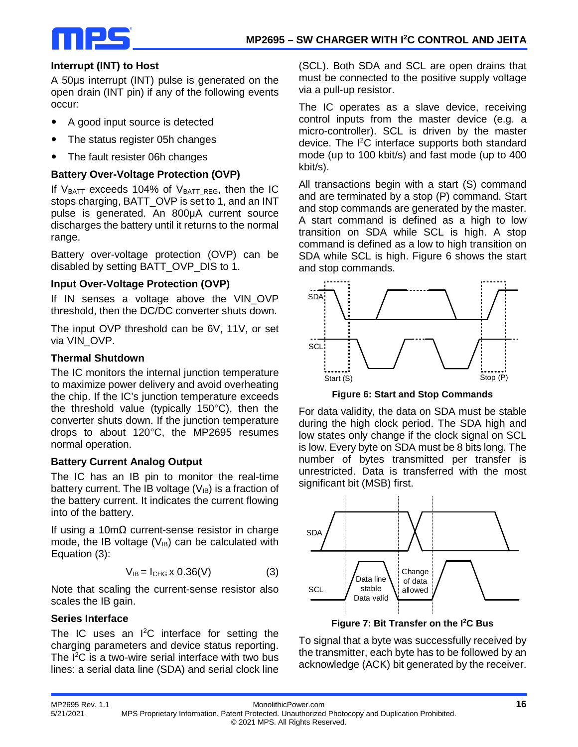

#### **Interrupt (INT) to Host**

A 50μs interrupt (INT) pulse is generated on the open drain (INT pin) if any of the following events occur:

- A good input source is detected
- The status register 05h changes
- The fault resister 06h changes

#### **Battery Over-Voltage Protection (OVP)**

If  $V_{BAT}$  exceeds 104% of  $V_{BAT}$  REG, then the IC stops charging, BATT\_OVP is set to 1, and an INT pulse is generated. An 800μA current source discharges the battery until it returns to the normal range.

Battery over-voltage protection (OVP) can be disabled by setting BATT\_OVP\_DIS to 1.

#### **Input Over-Voltage Protection (OVP)**

If IN senses a voltage above the VIN\_OVP threshold, then the DC/DC converter shuts down.

The input OVP threshold can be 6V, 11V, or set via VIN\_OVP.

#### **Thermal Shutdown**

The IC monitors the internal junction temperature to maximize power delivery and avoid overheating the chip. If the IC's junction temperature exceeds the threshold value (typically 150°C), then the converter shuts down. If the junction temperature drops to about 120°C, the MP2695 resumes normal operation.

#### **Battery Current Analog Output**

The IC has an IB pin to monitor the real-time battery current. The IB voltage  $(V_{IB})$  is a fraction of the battery current. It indicates the current flowing into of the battery.

If using a 10mΩ current-sense resistor in charge mode, the IB voltage  $(V_{IB})$  can be calculated with Equation (3):

$$
V_{IB} = I_{CHG} \times 0.36(V) \tag{3}
$$

Note that scaling the current-sense resistor also scales the IB gain.

#### **Series Interface**

The IC uses an I<sup>2</sup>C interface for setting the charging parameters and device status reporting. The I<sup>2</sup>C is a two-wire serial interface with two bus lines: a serial data line (SDA) and serial clock line

(SCL). Both SDA and SCL are open drains that must be connected to the positive supply voltage via a pull-up resistor.

The IC operates as a slave device, receiving control inputs from the master device (e.g. a micro-controller). SCL is driven by the master device. The I 2 C interface supports both standard mode (up to 100 kbit/s) and fast mode (up to 400 kbit/s).

All transactions begin with a start (S) command and are terminated by a stop (P) command. Start and stop commands are generated by the master. A start command is defined as a high to low transition on SDA while SCL is high. A stop command is defined as a low to high transition on SDA while SCL is high. Figure 6 shows the start and stop commands.



**Figure 6: Start and Stop Commands**

For data validity, the data on SDA must be stable during the high clock period. The SDA high and low states only change if the clock signal on SCL is low. Every byte on SDA must be 8 bits long. The number of bytes transmitted per transfer is unrestricted. Data is transferred with the most significant bit (MSB) first.



**Figure 7: Bit Transfer on the I2C Bus**

To signal that a byte was successfully received by the transmitter, each byte has to be followed by an acknowledge (ACK) bit generated by the receiver.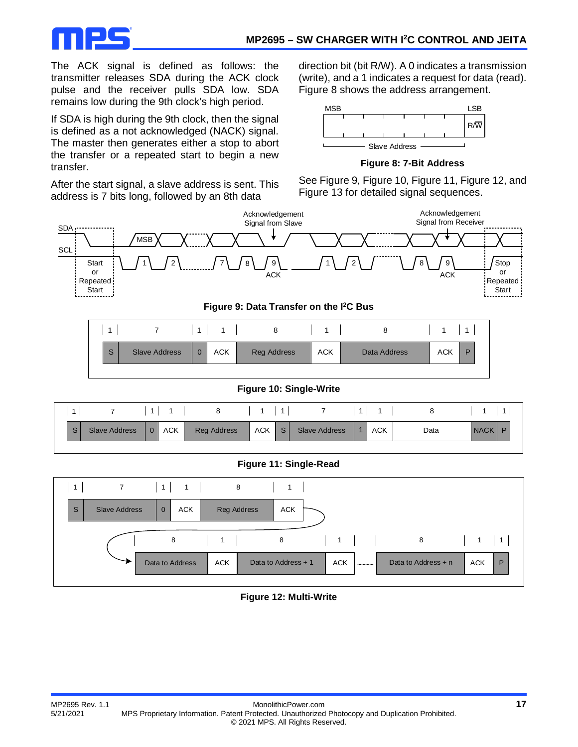

The ACK signal is defined as follows: the transmitter releases SDA during the ACK clock pulse and the receiver pulls SDA low. SDA remains low during the 9th clock's high period.

If SDA is high during the 9th clock, then the signal is defined as a not acknowledged (NACK) signal. The master then generates either a stop to abort the transfer or a repeated start to begin a new transfer.

After the start signal, a slave address is sent. This address is 7 bits long, followed by an 8th data

direction bit (bit R/W). A 0 indicates a transmission (write), and a 1 indicates a request for data (read). Figure 8 shows the address arrangement.



**Figure 8: 7-Bit Address**

See Figure 9, Figure 10, Figure 11, Figure 12, and Figure 13 for detailed signal sequences.





**Figure 10: Single-Write**

|              |                      |              |     | ୪           |     |   |                      |            |      |             |
|--------------|----------------------|--------------|-----|-------------|-----|---|----------------------|------------|------|-------------|
| <sub>S</sub> | <b>Slave Address</b> | $\mathbf{0}$ | ACK | Reg Address | ACK | S | <b>Slave Address</b> | <b>ACK</b> | Data | <b>NACK</b> |

#### **Figure 11: Single-Read**



#### **Figure 12: Multi-Write**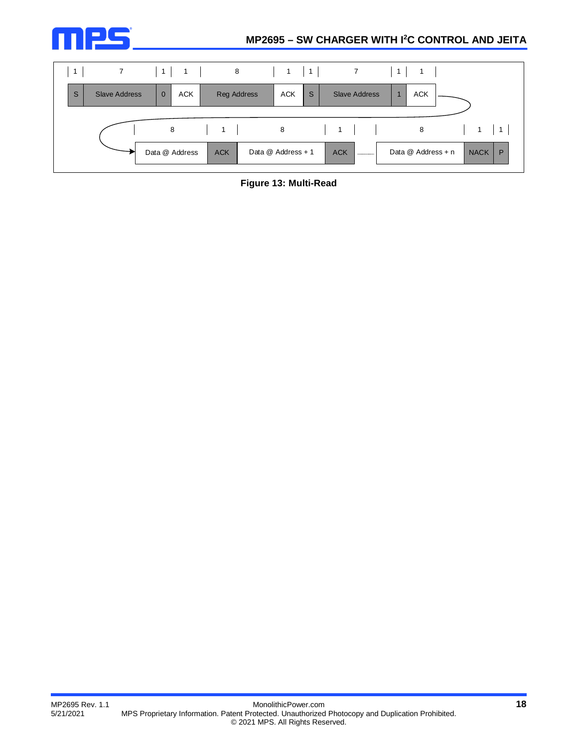



**Figure 13: Multi-Read**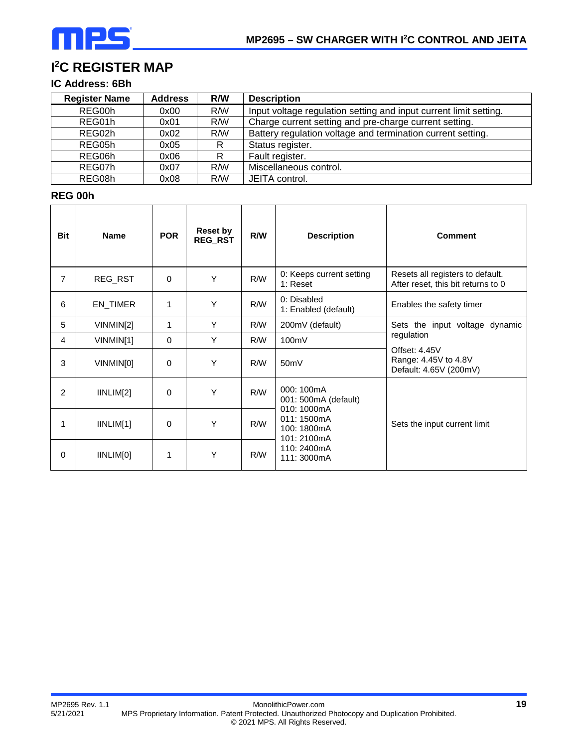## **I 2 C REGISTER MAP**

### **IC Address: 6Bh**

| <b>Register Name</b> | <b>Address</b> | R/W | <b>Description</b>                                                |
|----------------------|----------------|-----|-------------------------------------------------------------------|
| REG00h               | 0x00           | R/W | Input voltage regulation setting and input current limit setting. |
| REG01h               | 0x01           | R/W | Charge current setting and pre-charge current setting.            |
| REG02h               | 0x02           | R/W | Battery regulation voltage and termination current setting.       |
| REG05h               | 0x05           | R   | Status register.                                                  |
| REG06h               | 0x06           | R   | Fault register.                                                   |
| REG07h               | 0x07           | R/W | Miscellaneous control.                                            |
| REG08h               | 0x08           | R/W | JEITA control.                                                    |

#### **REG 00h**

| <b>Bit</b>     | <b>Name</b> | <b>POR</b> | <b>Reset by</b><br>REG_RST | R/W        | <b>Description</b>                                      | <b>Comment</b>                                                         |
|----------------|-------------|------------|----------------------------|------------|---------------------------------------------------------|------------------------------------------------------------------------|
| 7              | REG_RST     | $\Omega$   | Y                          | <b>R/W</b> | 0: Keeps current setting<br>1: Reset                    | Resets all registers to default.<br>After reset, this bit returns to 0 |
| 6              | EN_TIMER    | 1          | Y                          | <b>R/W</b> | 0: Disabled<br>1: Enabled (default)                     | Enables the safety timer                                               |
| 5              | VINMIN[2]   | 1          | Y                          | R/W        | 200mV (default)                                         | Sets the input voltage dynamic                                         |
| 4              | VINMIN[1]   | $\Omega$   | Y                          | R/W        | 100mV                                                   | regulation                                                             |
| 3              | VINMIN[0]   | $\Omega$   | Y                          | <b>R/W</b> | 50 <sub>m</sub> V                                       | Offset: 4.45V<br>Range: 4.45V to 4.8V<br>Default: 4.65V (200mV)        |
| $\overline{2}$ | IINLIM[2]   | $\Omega$   | Y                          | R/W        | 000: 100mA<br>001: 500mA (default)                      |                                                                        |
| 1              | IINLIM[1]   | 0          | Y                          | <b>R/W</b> | 010: 1000mA<br>011: 1500mA<br>100: 1800mA<br>101:2100mA | Sets the input current limit                                           |
| 0              | IINLIM[0]   | 1          | Υ                          | R/W        | 110: 2400mA<br>111: 3000mA                              |                                                                        |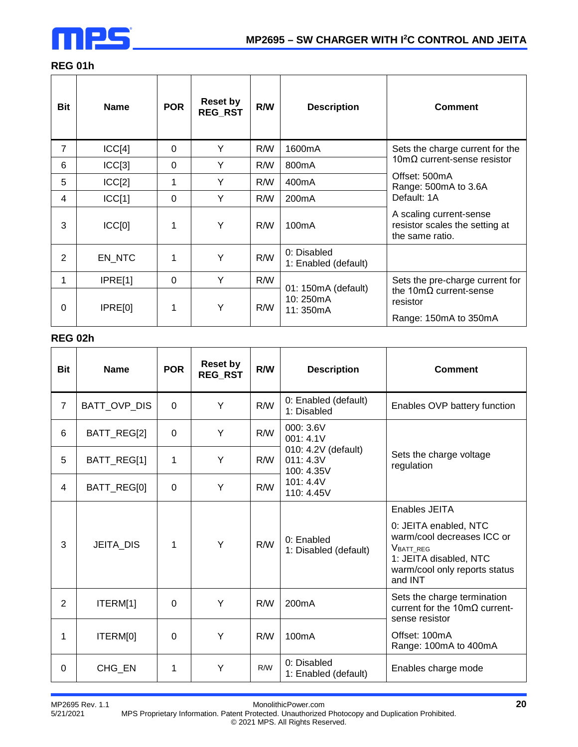

### **REG 01h**

| <b>Bit</b>     | <b>Name</b> | <b>POR</b> | <b>Reset by</b><br><b>REG RST</b> | R/W | <b>Description</b>                  | <b>Comment</b>                                                               |
|----------------|-------------|------------|-----------------------------------|-----|-------------------------------------|------------------------------------------------------------------------------|
| $\overline{7}$ | ICC[4]      | $\Omega$   | Y                                 | R/W | 1600mA                              | Sets the charge current for the                                              |
| 6              | ICC[3]      | $\Omega$   | Y                                 | R/W | 800 <sub>m</sub> A                  | 10m $\Omega$ current-sense resistor                                          |
| 5              | ICC[2]      | 1          | Y                                 | R/W | 400 <sub>m</sub> A                  | Offset: 500mA<br>Range: 500mA to 3.6A                                        |
| 4              | ICC[1]      | $\Omega$   | Y                                 | R/W | 200 <sub>m</sub> A                  | Default: 1A                                                                  |
| 3              | ICC[0]      | 1          | Y                                 | R/W | 100 <sub>m</sub> A                  | A scaling current-sense<br>resistor scales the setting at<br>the same ratio. |
| $\overline{2}$ | EN_NTC      | 1          | Y                                 | R/W | 0: Disabled<br>1: Enabled (default) |                                                                              |
| 1              | IPRE[1]     | $\Omega$   | Y                                 | R/W | 01: 150mA (default)                 | Sets the pre-charge current for                                              |
| 0              | IPRE[0]     | 1          | Υ                                 | R/W | 10:250mA<br>11:350mA                | the $10 \text{m}\Omega$ current-sense<br>resistor<br>Range: 150mA to 350mA   |

#### **REG 02h**

| <b>Bit</b>     | <b>Name</b>      | <b>POR</b>     | <b>Reset by</b><br><b>REG RST</b> | R/W | <b>Description</b>                             | <b>Comment</b>                                                                                                                                          |
|----------------|------------------|----------------|-----------------------------------|-----|------------------------------------------------|---------------------------------------------------------------------------------------------------------------------------------------------------------|
| $\overline{7}$ | BATT_OVP_DIS     | $\overline{0}$ | Y                                 | R/W | 0: Enabled (default)<br>1: Disabled            | Enables OVP battery function                                                                                                                            |
| 6              | BATT_REG[2]      | $\Omega$       | Y                                 | R/W | 000: 3.6V<br>001: 4.1V                         |                                                                                                                                                         |
| 5              | BATT_REG[1]      | 1              | Y                                 | R/W | 010: 4.2V (default)<br>011: 4.3V<br>100: 4.35V | Sets the charge voltage<br>regulation                                                                                                                   |
| 4              | BATT_REG[0]      | $\Omega$       | Y                                 | R/W | 101:4.4V<br>110: 4.45V                         |                                                                                                                                                         |
| 3              | <b>JEITA DIS</b> | 1              | Y                                 | R/W | 0: Enabled<br>1: Disabled (default)            | Enables JEITA<br>0: JEITA enabled, NTC<br>warm/cool decreases ICC or<br>VBATT_REG<br>1: JEITA disabled, NTC<br>warm/cool only reports status<br>and INT |
| $\overline{2}$ | ITERM[1]         | $\Omega$       | Y                                 | R/W | 200mA                                          | Sets the charge termination<br>current for the $10 \text{m}\Omega$ current-<br>sense resistor                                                           |
| 1              | ITERM[0]         | $\mathbf 0$    | Y                                 | R/W | 100 <sub>m</sub> A                             | Offset: 100mA<br>Range: 100mA to 400mA                                                                                                                  |
| 0              | CHG_EN           | 1              | Y                                 | R/W | 0: Disabled<br>1: Enabled (default)            | Enables charge mode                                                                                                                                     |

MP2695 Rev. 1.1 MonolithicPower.com **20**

5/21/2021 MPS Proprietary Information. Patent Protected. Unauthorized Photocopy and Duplication Prohibited. © 2021 MPS. All Rights Reserved.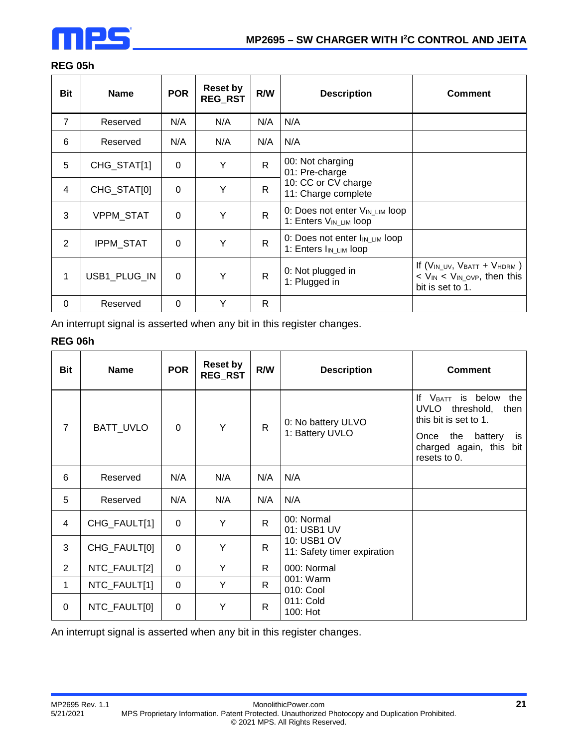

### **REG 05h**

| Bit            | <b>Name</b>      | <b>POR</b> | <b>Reset by</b><br><b>REG RST</b> | R/W          | <b>Description</b>                                                               | <b>Comment</b>                                                                                    |
|----------------|------------------|------------|-----------------------------------|--------------|----------------------------------------------------------------------------------|---------------------------------------------------------------------------------------------------|
| $\overline{7}$ | Reserved         | N/A        | N/A                               | N/A          | N/A                                                                              |                                                                                                   |
| 6              | Reserved         | N/A        | N/A                               | N/A          | N/A                                                                              |                                                                                                   |
| 5              | CHG_STAT[1]      | $\Omega$   | Y                                 | R            | 00: Not charging<br>01: Pre-charge                                               |                                                                                                   |
| 4              | CHG_STAT[0]      | $\Omega$   | Y                                 | R            | 10: CC or CV charge<br>11: Charge complete                                       |                                                                                                   |
| 3              | <b>VPPM STAT</b> | $\Omega$   | Y                                 | $\mathsf{R}$ | 0: Does not enter V <sub>IN_LIM</sub> loop<br>1: Enters V <sub>IN_LIM</sub> loop |                                                                                                   |
| 2              | IPPM_STAT        | $\Omega$   | Y                                 | $\mathsf{R}$ | 0: Does not enter I <sub>IN_LIM</sub> loop<br>1: Enters I <sub>IN_LIM</sub> loop |                                                                                                   |
| 1              | USB1 PLUG IN     | $\Omega$   | Y                                 | $\mathsf{R}$ | 0: Not plugged in<br>1: Plugged in                                               | If $(V_{IN\_UV}, V_{BAT} + V_{HDRM})$<br>$V_{IN}$ < $V_{IN\_OVP}$ , then this<br>bit is set to 1. |
| $\Omega$       | Reserved         | 0          | Y                                 | R            |                                                                                  |                                                                                                   |

An interrupt signal is asserted when any bit in this register changes.

#### **REG 06h**

| <b>Bit</b>     | <b>Name</b>  | <b>POR</b>         | <b>Reset by</b><br><b>REG RST</b> | R/W                                                                                      | <b>Description</b>                         | <b>Comment</b>                                                          |
|----------------|--------------|--------------------|-----------------------------------|------------------------------------------------------------------------------------------|--------------------------------------------|-------------------------------------------------------------------------|
| $\overline{7}$ | BATT_UVLO    | 0: No battery ULVO |                                   | If V <sub>BATT</sub> is below<br>the<br>UVLO threshold,<br>then<br>this bit is set to 1. |                                            |                                                                         |
|                |              | $\Omega$           | Y                                 | $\mathsf{R}$                                                                             | 1: Battery UVLO                            | the<br>battery<br>Once<br>is<br>charged again, this bit<br>resets to 0. |
| 6              | Reserved     | N/A                | N/A                               | N/A                                                                                      | N/A                                        |                                                                         |
| 5              | Reserved     | N/A                | N/A                               | N/A                                                                                      | N/A                                        |                                                                         |
| 4              | CHG_FAULT[1] | $\Omega$           | Y                                 | $\mathsf{R}$                                                                             | 00: Normal<br>01: USB1 UV                  |                                                                         |
| 3              | CHG_FAULT[0] | $\Omega$           | Y                                 | $\mathsf{R}$                                                                             | 10: USB1 OV<br>11: Safety timer expiration |                                                                         |
| $\overline{2}$ | NTC_FAULT[2] | $\Omega$           | Y                                 | $\mathsf{R}$                                                                             | 000: Normal                                |                                                                         |
| 1              | NTC_FAULT[1] | $\mathbf 0$        | Y                                 | $\mathsf{R}$                                                                             | 001: Warm<br>010: Cool                     |                                                                         |
| 0              | NTC_FAULT[0] | $\Omega$           | Y                                 | $\mathsf{R}$                                                                             | 011: Cold<br>100: Hot                      |                                                                         |

An interrupt signal is asserted when any bit in this register changes.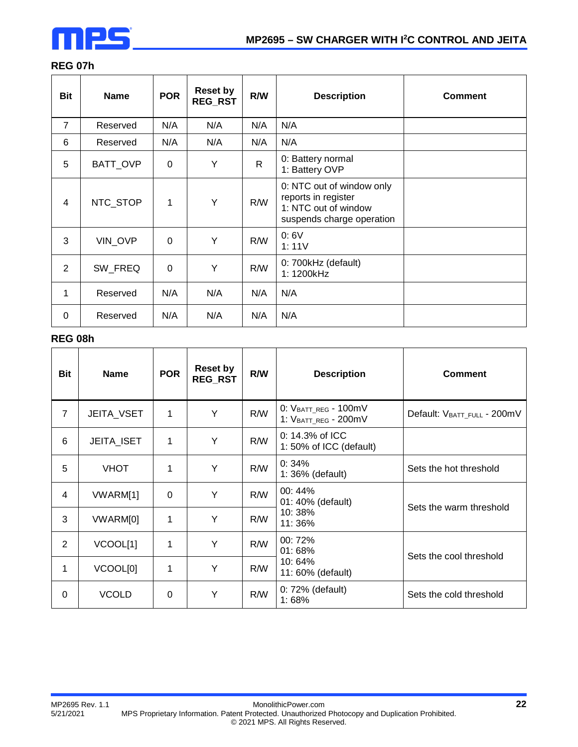

### **REG 07h**

| <b>Bit</b>     | <b>Name</b> | <b>POR</b>  | <b>Reset by</b><br><b>REG_RST</b> | R/W | <b>Description</b>                                                                                    | <b>Comment</b> |
|----------------|-------------|-------------|-----------------------------------|-----|-------------------------------------------------------------------------------------------------------|----------------|
| $\overline{7}$ | Reserved    | N/A         | N/A                               | N/A | N/A                                                                                                   |                |
| 6              | Reserved    | N/A         | N/A                               | N/A | N/A                                                                                                   |                |
| 5              | BATT_OVP    | 0           | Y                                 | R   | 0: Battery normal<br>1: Battery OVP                                                                   |                |
| 4              | NTC_STOP    | 1           | Y                                 | R/W | 0: NTC out of window only<br>reports in register<br>1: NTC out of window<br>suspends charge operation |                |
| 3              | VIN_OVP     | $\mathbf 0$ | Y                                 | R/W | 0:6V<br>1:11V                                                                                         |                |
| $\overline{2}$ | SW FREQ     | 0           | Y                                 | R/W | 0: 700kHz (default)<br>1: 1200kHz                                                                     |                |
| 1              | Reserved    | N/A         | N/A                               | N/A | N/A                                                                                                   |                |
| $\Omega$       | Reserved    | N/A         | N/A                               | N/A | N/A                                                                                                   |                |

#### **REG 08h**

| <b>Bit</b>     | <b>Name</b>       | <b>POR</b> | <b>Reset by</b><br><b>REG_RST</b> | R/W        | <b>Description</b>                           | <b>Comment</b>              |
|----------------|-------------------|------------|-----------------------------------|------------|----------------------------------------------|-----------------------------|
| $\overline{7}$ | <b>JEITA_VSET</b> | 1          | Y                                 | R/W        | 0: VBATT_REG - 100mV<br>1: VBATT_REG - 200mV | Default: VBATT_FULL - 200mV |
| 6              | <b>JEITA_ISET</b> | 1          | Y                                 | R/W        | 0: 14.3% of ICC<br>1:50% of ICC (default)    |                             |
| 5              | <b>VHOT</b>       | 1          | Y                                 | R/W        | 0:34%<br>1: 36% (default)                    | Sets the hot threshold      |
| 4              | VWARM[1]          | $\Omega$   | Y                                 | <b>R/W</b> | 00:44%<br>01: 40% (default)                  | Sets the warm threshold     |
| 3              | VWARM[0]          | 1          | Y                                 | R/W        | 10:38%<br>11:36%                             |                             |
| 2              | VCOOL[1]          | 1          | Y                                 | R/W        | 00: 72%<br>01:68%                            | Sets the cool threshold     |
| 1              | VCOOL[0]          | 1          | Y                                 | R/W        | 10:64%<br>11: 60% (default)                  |                             |
| $\Omega$       | <b>VCOLD</b>      | 0          | Y                                 | R/W        | 0: 72% (default)<br>1:68%                    | Sets the cold threshold     |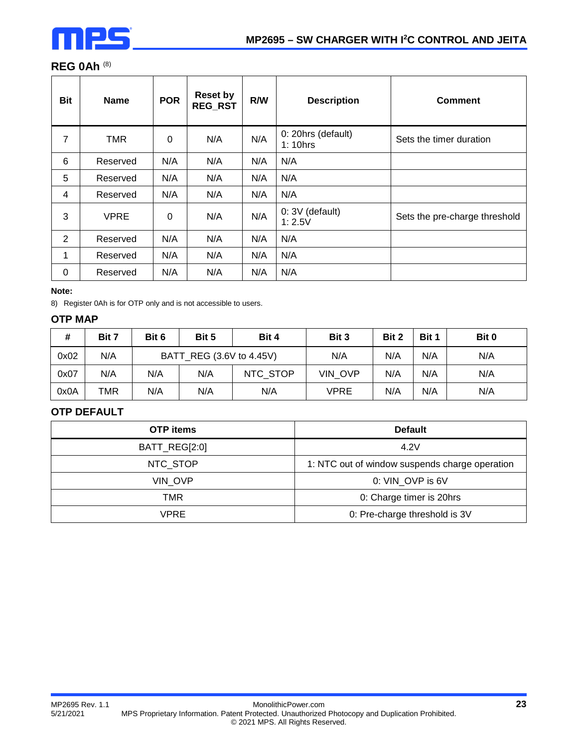

### **REG 0Ah** (8)

| <b>Bit</b>     | <b>Name</b> | <b>POR</b> | <b>Reset by</b><br><b>REG_RST</b> | R/W | <b>Description</b>             | <b>Comment</b>                |
|----------------|-------------|------------|-----------------------------------|-----|--------------------------------|-------------------------------|
| 7              | TMR         | 0          | N/A                               | N/A | 0: 20hrs (default)<br>1: 10hrs | Sets the timer duration       |
| 6              | Reserved    | N/A        | N/A                               | N/A | N/A                            |                               |
| 5              | Reserved    | N/A        | N/A                               | N/A | N/A                            |                               |
| 4              | Reserved    | N/A        | N/A                               | N/A | N/A                            |                               |
| 3              | <b>VPRE</b> | 0          | N/A                               | N/A | 0: 3V (default)<br>1:2.5V      | Sets the pre-charge threshold |
| $\overline{2}$ | Reserved    | N/A        | N/A                               | N/A | N/A                            |                               |
| 1              | Reserved    | N/A        | N/A                               | N/A | N/A                            |                               |
| 0              | Reserved    | N/A        | N/A                               | N/A | N/A                            |                               |

#### **Note:**

8) Register 0Ah is for OTP only and is not accessible to users.

### **OTP MAP**

| #    | Bit 7 | Bit 6 | Bit 5                    | Bit 4    | Bit 3   | Bit 2 | Bit 1 | Bit 0 |
|------|-------|-------|--------------------------|----------|---------|-------|-------|-------|
| 0x02 | N/A   |       | BATT REG (3.6V to 4.45V) |          | N/A     | N/A   | N/A   | N/A   |
| 0x07 | N/A   | N/A   | N/A                      | NTC STOP | VIN OVP | N/A   | N/A   | N/A   |
| 0x0A | TMR   | N/A   | N/A                      | N/A      | VPRE    | N/A   | N/A   | N/A   |

#### **OTP DEFAULT**

| <b>OTP</b> items | <b>Default</b>                                 |
|------------------|------------------------------------------------|
| BATT_REG[2:0]    | 4.2V                                           |
| NTC_STOP         | 1: NTC out of window suspends charge operation |
| VIN OVP          | 0: VIN OVP is 6V                               |
| TMR              | 0: Charge timer is 20hrs                       |
| VPRE             | 0: Pre-charge threshold is 3V                  |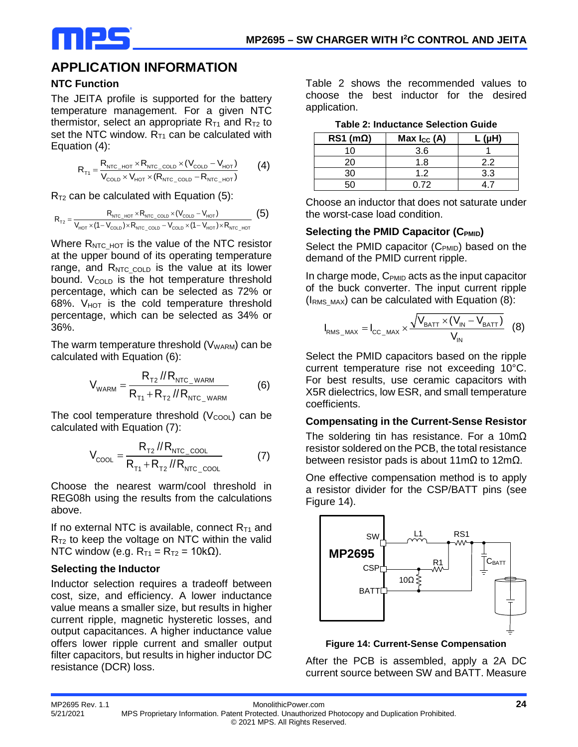

### **APPLICATION INFORMATION**

#### **NTC Function**

The JEITA profile is supported for the battery temperature management. For a given NTC thermistor, select an appropriate  $R_{T1}$  and  $R_{T2}$  to set the NTC window.  $R_{T1}$  can be calculated with Equation (4):

$$
R_{\text{t1}} = \frac{R_{\text{NTC\_HOT}} \times R_{\text{NTC\_COLD}} \times (V_{\text{COLD}} - V_{\text{HOT}})}{V_{\text{COLD}} \times V_{\text{HOT}} \times (R_{\text{NTC\_COLD}} - R_{\text{NTC\_HOT}})} \tag{4}
$$

 $R<sub>T2</sub>$  can be calculated with Equation (5):

$$
R_{\text{T2}} = \frac{R_{\text{NTC\_HOT}} \times R_{\text{NTC\_COLD}} \times (V_{\text{COLD}} - V_{\text{HOT}})}{V_{\text{HOT}} \times (1 - V_{\text{COLD}}) \times R_{\text{NTC\_COLD}} - V_{\text{COLD}} \times (1 - V_{\text{HOT}}) \times R_{\text{NTC\_HOT}}} \tag{5}
$$

Where  $R_{NTC_HOT}$  is the value of the NTC resistor at the upper bound of its operating temperature range, and  $R_{NTC\ COLD}$  is the value at its lower bound. V<sub>COLD</sub> is the hot temperature threshold percentage, which can be selected as 72% or  $68\%$ .  $V_{HOT}$  is the cold temperature threshold percentage, which can be selected as 34% or 36%.

The warm temperature threshold  $(V_{WARM})$  can be calculated with Equation (6):

$$
V_{\text{WARM}} = \frac{R_{\text{T2}} / R_{\text{NIC\_WARM}}}{R_{\text{T1}} + R_{\text{T2}} / R_{\text{NIC\_WARM}}}
$$
(6)

The cool temperature threshold  $(V_{\text{COOL}})$  can be calculated with Equation (7):

$$
V_{\text{cool}} = \frac{R_{\text{T2}} / R_{\text{NIC\_cool}}}{R_{\text{T1}} + R_{\text{T2}} / R_{\text{NIC\_cool}}} \tag{7}
$$

Choose the nearest warm/cool threshold in REG08h using the results from the calculations above.

If no external NTC is available, connect  $R_{T1}$  and  $R<sub>T2</sub>$  to keep the voltage on NTC within the valid NTC window (e.g.  $R_{T1} = R_{T2} = 10k\Omega$ ).

#### **Selecting the Inductor**

Inductor selection requires a tradeoff between cost, size, and efficiency. A lower inductance value means a smaller size, but results in higher current ripple, magnetic hysteretic losses, and output capacitances. A higher inductance value offers lower ripple current and smaller output filter capacitors, but results in higher inductor DC resistance (DCR) loss.

Table 2 shows the recommended values to choose the best inductor for the desired application.

| Table 2: Inductance Selection Guide |  |
|-------------------------------------|--|
|                                     |  |

| $RS1$ (m $\Omega$ ) | Max $I_{CC}$ (A) | /…µ` |
|---------------------|------------------|------|
| 10                  | 3.6              |      |
| 20                  | 1.8              | 22   |
|                     | 12               | 3.3  |
|                     | ገ 72             |      |

Choose an inductor that does not saturate under the worst-case load condition.

#### **Selecting the PMID Capacitor (CPMID)**

Select the PMID capacitor (C<sub>PMID</sub>) based on the demand of the PMID current ripple.

In charge mode,  $C_{PMID}$  acts as the input capacitor of the buck converter. The input current ripple  $(I<sub>RMS_MAX</sub>)$  can be calculated with Equation (8):

$$
I_{RMS\_MAX} = I_{CC\_MAX} \times \frac{\sqrt{V_{BAT} \times (V_{IN} - V_{BAT})}}{V_{IN}}
$$
 (8)

Select the PMID capacitors based on the ripple current temperature rise not exceeding 10°C. For best results, use ceramic capacitors with X5R dielectrics, low ESR, and small temperature coefficients.

#### **Compensating in the Current-Sense Resistor**

The soldering tin has resistance. For a 10mΩ resistor soldered on the PCB, the total resistance between resistor pads is about 11mΩ to 12mΩ.

One effective compensation method is to apply a resistor divider for the CSP/BATT pins (see Figure 14).



**Figure 14: Current-Sense Compensation**

After the PCB is assembled, apply a 2A DC current source between SW and BATT. Measure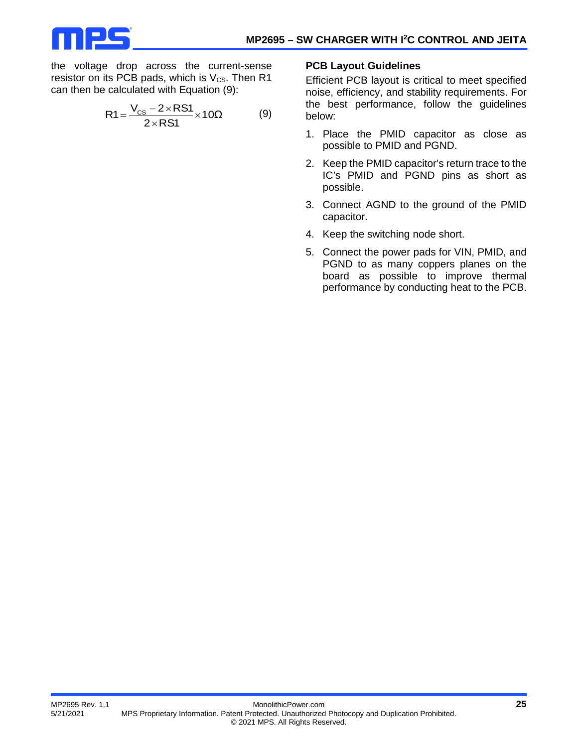

the voltage drop across the current-sense resistor on its PCB pads, which is  $V_{CS}$ . Then R1 can then be calculated with Equation (9):

$$
R1 = \frac{V_{CS} - 2 \times RS1}{2 \times RS1} \times 10\Omega
$$
 (9)

#### **PCB Layout Guidelines**

Efficient PCB layout is critical to meet specified noise, efficiency, and stability requirements. For the best performance, follow the guidelines below:

- 1. Place the PMID capacitor as close as possible to PMID and PGND.
- 2. Keep the PMID capacitor's return trace to the IC's PMID and PGND pins as short as possible.
- 3. Connect AGND to the ground of the PMID capacitor.
- 4. Keep the switching node short.
- 5. Connect the power pads for VIN, PMID, and PGND to as many coppers planes on the board as possible to improve thermal performance by conducting heat to the PCB.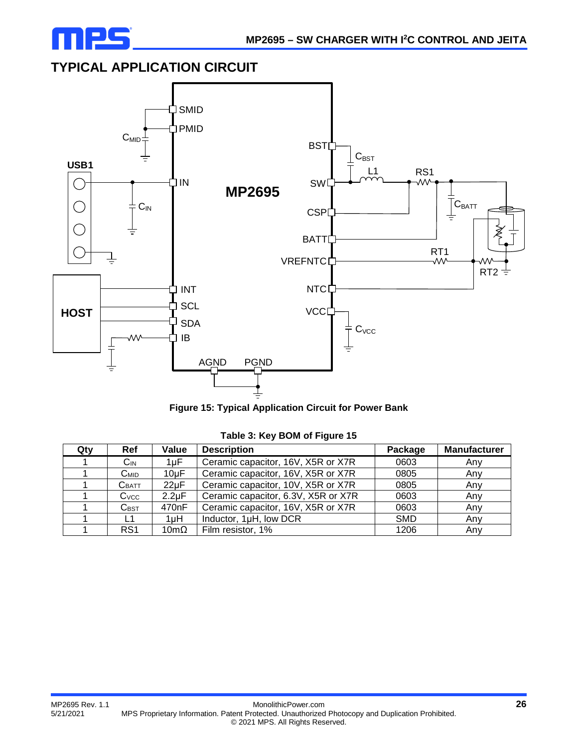

## **TYPICAL APPLICATION CIRCUIT**



|  | <b>Figure 15: Typical Application Circuit for Power Bank</b> |  |  |
|--|--------------------------------------------------------------|--|--|
|  |                                                              |  |  |

| Qty | <b>Ref</b>                  | Value               | <b>Description</b>                  | Package    | <b>Manufacturer</b> |
|-----|-----------------------------|---------------------|-------------------------------------|------------|---------------------|
|     | $C_{IN}$                    | $1\mu F$            | Ceramic capacitor, 16V, X5R or X7R  | 0603       | Any                 |
|     | Смір                        | $10\mu F$           | Ceramic capacitor, 16V, X5R or X7R  | 0805       | Any                 |
|     | C <sub>BATT</sub>           | $22\mu F$           | Ceramic capacitor, 10V, X5R or X7R  | 0805       | Anv                 |
|     | $C$ <sub>VCC</sub>          | $2.2 \mu F$         | Ceramic capacitor, 6.3V, X5R or X7R | 0603       | Any                 |
|     | $\mathsf{C}_{\mathsf{BST}}$ | 470 <sub>n</sub> F  | Ceramic capacitor, 16V, X5R or X7R  | 0603       | Any                 |
|     | L1                          | 1 <sub>µ</sub> H    | Inductor, 1µH, low DCR              | <b>SMD</b> | Any                 |
|     | RS <sub>1</sub>             | $10 \text{m}\Omega$ | Film resistor, 1%                   | 1206       | Any                 |

**Table 3: Key BOM of Figure 15**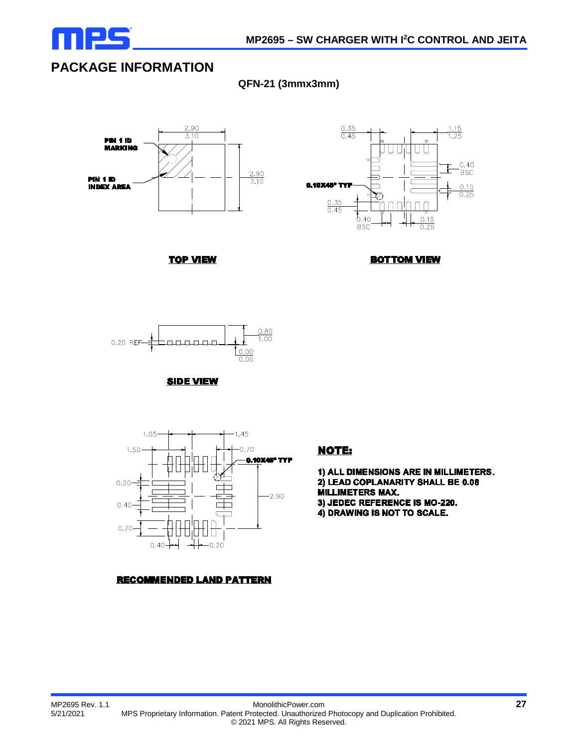

## **PACKAGE INFORMATION**

**QFN-21 (3mmx3mm)**





**TOP VIEW** 





**SIDE VIEW** 



**RECOMMENDED LAND PATTERN** 

#### **NOTE:**

1) ALL DIMENSIONS ARE IN MILLIMETERS. 2) LEAD COPLANARITY SHALL BE 0.08 MILLIMETERS MAX. 3) JEDEC REFERENCE IS MO-220.

4) DRAWING IS NOT TO SCALE.